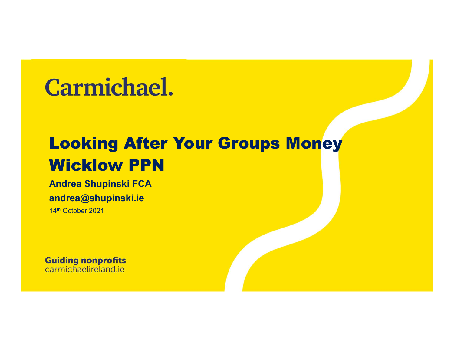#### **Carmichael.**

#### Looking After Your Groups Money Wicklow PPN

Andrea Shupinski FCA andrea@shupinski.ie

14<sup>th</sup> October 2021

**Guiding nonprofits** carmichaelireland.ie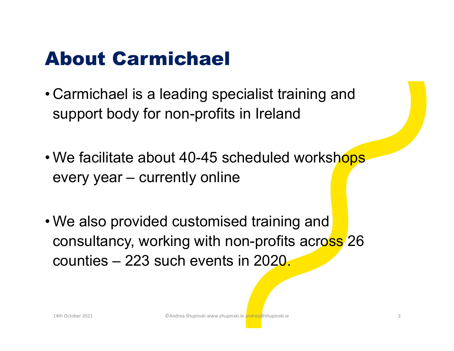#### About Carmichael

- About Carmichael<br>• Carmichael is a leading specialist training and<br>support body for non-profits in Ireland support body for non-profits in Ireland **About Carmichael**<br>Carmichael is a leading specialist training a<br>support body for non-profits in Ireland<br>We facilitate about 40-45 scheduled worksl<br>every year – currently online
- About Carmichael<br>
 Carmichael is a leading specialist training and<br>
support body for non-profits in Ireland<br>
 We facilitate about 40-45 scheduled workshops<br>
every year currently online
- Carmichael is a leading specialist training and<br>support body for non-profits in Ireland<br>• We facilitate about 40-45 scheduled workshops<br>every year currently online<br>• We also provided customised training and<br>consultancy consultancy, working with non-profits across 26 support body for non-profits in fretarid<br>We facilitate about 40-45 scheduled worksh<br>every year – currently online<br>We also provided customised training and<br>consultancy, working with non-profits across<br>counties – 223 such ev every year — currently online<br>
We also provided customised training and<br>
consultancy, working with non-profits across 26<br>
counties — 223 such events in 2020.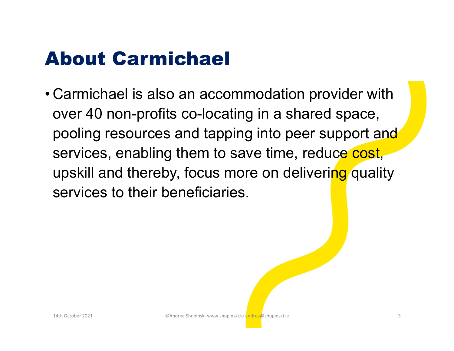#### About Carmichael

About Carmichael<br>• Carmichael is also an accommodation provider with<br>over 40 non-profits co-locating in a shared space,<br>pooling resources and tapping into peer support and **About Carmichael<br>
Carmichael is also an accommodation provider with**<br>
over 40 non-profits co-locating in a shared space,<br>
pooling resources and tapping into peer support and<br>
services enabling them to save time, reduce co pooling resources and tapping into peer support and services, enabling them to save time, reduce cost, upskill and thereby, focus more on delivering quality services to their beneficiaries. LIATh October 2021<br>
14th October 2021<br>
24th October 2021<br>
34th October 2021<br>
34th October 2021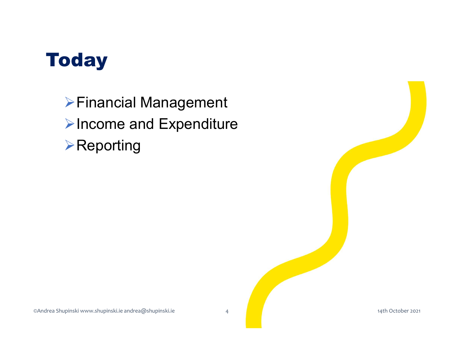

Financial Management **≻Income and Expenditure ≻Reporting** 

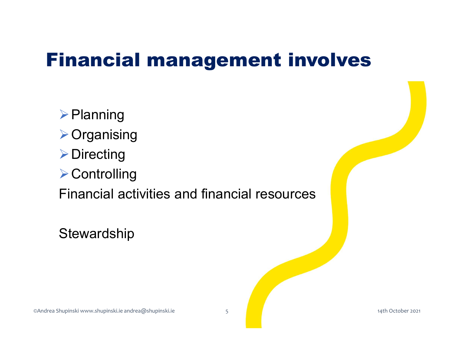#### Financial management involves

 $\triangleright$  Planning **≻Organising ▶ Directing ≻ Controlling inancial management involves**<br>
> Planning<br>
> Organising<br>
> Directing<br>
Financial activities and financial resources<br>
Stewardship De Controlling<br>
Dinancial activities and financial resources<br>
Stewardship<br>
Stewardshupinski www.shupinski.ie andrea@shupinski.ie<br>
Steward of the proper source of the physical condex and the condex source of the proper sou

**Stewardship**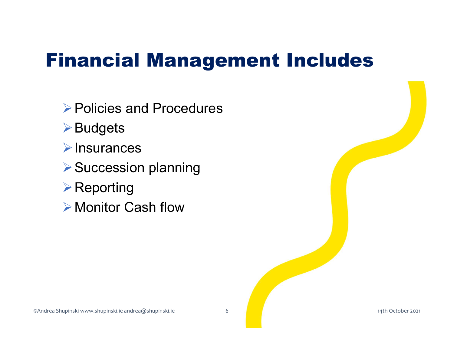#### Financial Management Includes

**▶ Policies and Procedures** 

**≻Budgets** 

 $\triangleright$ Insurances

▶ Succession planning

**≻Reporting** 

**≻Monitor Cash flow** ≫ Succession planning<br>
≫ Reporting<br>
≫ Monitor Cash flow<br>
Monitor Shupinski www.shupinski.ie andrea@shupinski.ie<br>
Mondrea Shupinski www.shupinski.ie andrea@shupinski.ie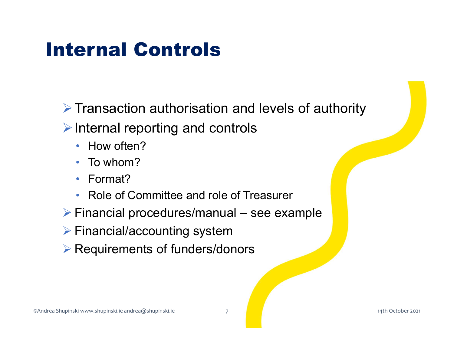#### Internal Controls

 $\triangleright$  Transaction authorisation and levels of authority Fransaction authorisation and levels of authority<br>
Finternal reporting and controls<br>
• How often?<br>
• To whom?<br>
• Format?<br>
• Role of Committee and role of Treasurer<br>
Financial procedures/manual – see example<br>
Financial/acc

- $\triangleright$  Internal reporting and controls
	- How often?
	- To whom?
	- Format?
	- Role of Committee and role of Treasurer
- <p>▶ Format?</p>\n<p>▶ Role of Committee and role of Treasury</p>\n<p>▶ Financial procedures/manual see example</p>\n<p>▶ Financial/accounting system</p>\n<p>▶ Required representation of funders/donors</p>\n<p>②</p>\n<p>②</p>\n<p>①</p>\n<p>①</p>\n<p>③</p>\n<p>③</p>\n<p>③</p>\n<p>③</p>\n<p>③</p>\n<p>③</p>\n<p>②</p>\n<p>②</p>\n<p>②</p>\n<p>②</p>\n<p>②</p>\n<p>②</p>\n<p>②</p>\n<p>②</p>\n<p>②</p>\n<p>�
	- $\triangleright$  Financial/accounting system
	- $\triangleright$  Requirements of funders/donors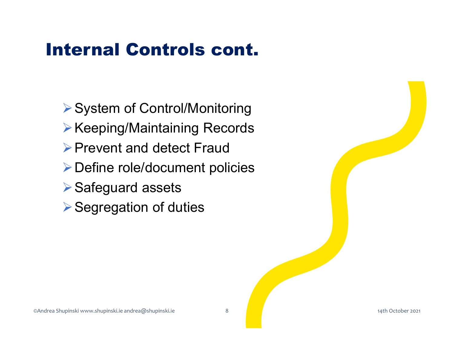#### Internal Controls cont.

▶ System of Control/Monitoring ▶ Keeping/Maintaining Records ▶ Prevent and detect Fraud Define role/document policies **▶ Safeguard assets ▶ Segregation of duties** ©Andrea Shupinski www.shupinski.ie andrea@shupinski.ie 8 14th October 2021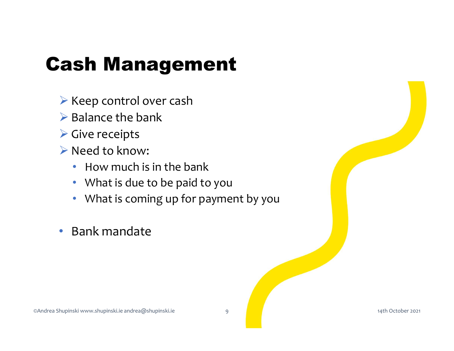#### Cash Management

- $\triangleright$  Keep control over cash
- $\triangleright$  Balance the bank
- $\triangleright$  Give receipts
- ▶ Need to know:
	- How much is in the bank
	- What is due to be paid to you
- What is coming up for payment by you FIND MUCHT IS IIT THE DATIK<br>
• What is due to be paid to you<br>
• What is coming up for payment by you<br>
• Bank mandate<br>
• Sanction of the pair of the pair of the payment of the same of the payment of the payment of the payme
	- Bank mandate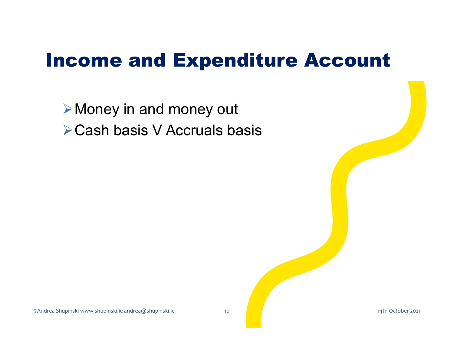#### Income and Expenditure Account

**≻Money in and money out ≻Cash basis V Accruals basis**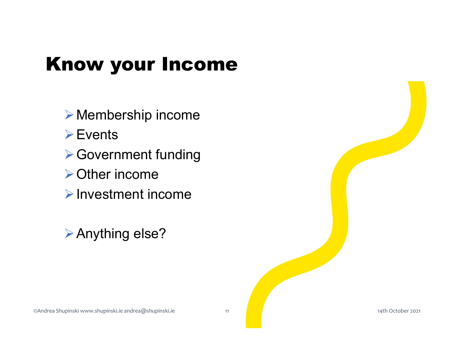#### Know your Income

Membership income **≻Events** ▶ Government funding **≻Other income**  $\triangleright$  Investment income ≫ Other income<br>
≫ Investment income<br>
≫ Anything else?<br>
©Andrea Shupinski www.shupinski.ie.andrea@shupinski.ie<br>
014th October 2021<br>
14th October 2021

Anything else?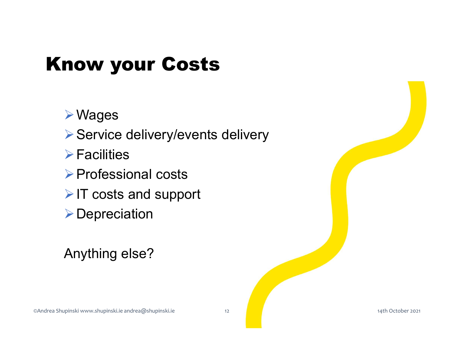#### Know your Costs

Wages

▶ Service delivery/events delivery

 $\triangleright$  Facilities

▶ Professional costs

 $\triangleright$  IT costs and support ≫ Professional costs<br>
≫ IT costs and support<br>
≫ Depreciation<br>
Anything else?<br>
<br>
CAndrea Shupinski www.shupinski.ie.andrea@shupinski.ie<br>  $\frac{1}{4}$ th October 2021

**▶Depreciation** 

Anything else?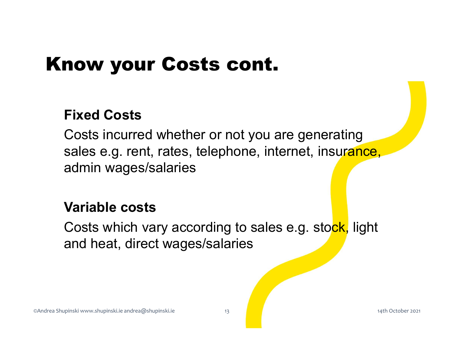#### Know your Costs cont.

#### Fixed Costs

Costs incurred whether or not you are generating sales e.g. rent, rates, telephone, internet, insurance, admin wages/salaries

#### Variable costs

Costs which vary according to sales e.g. stock, light and heat, direct wages/salaries Example Strupinski www.shupinski.le.andrea@shupinski.e<br>
Condrea Shupinski www.shupinski.le.andrea@shupinski.e<br>
CAndrea Shupinski www.shupinski.le.andrea@shupinski.e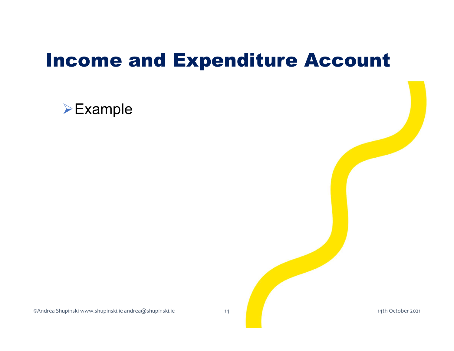#### Income and Expenditure Account

#### **≻Example**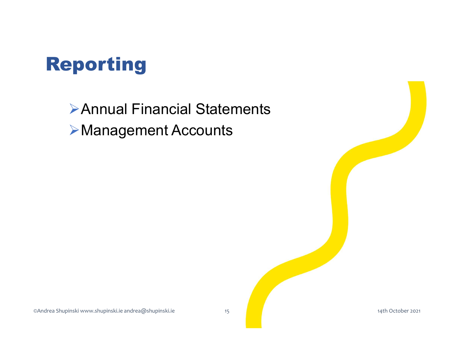

Annual Financial Statements Management Accounts

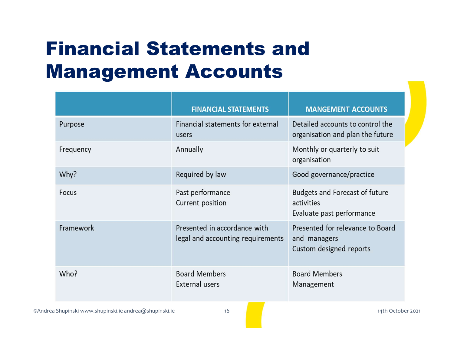#### Financial Statements and Management Accounts

|                                                        | <b>FINANCIAL STATEMENTS</b>                                       | <b>MANGEMENT ACCOUNTS</b>                                                        |
|--------------------------------------------------------|-------------------------------------------------------------------|----------------------------------------------------------------------------------|
| Purpose                                                | Financial statements for external<br>users                        | Detailed accounts to control the<br>organisation and plan the future             |
| Frequency                                              | Annually                                                          | Monthly or quarterly to suit<br>organisation                                     |
| Why?                                                   | Required by law                                                   | Good governance/practice                                                         |
| Focus                                                  | Past performance<br>Current position                              | <b>Budgets and Forecast of future</b><br>activities<br>Evaluate past performance |
| Framework                                              | Presented in accordance with<br>legal and accounting requirements | Presented for relevance to Board<br>and managers<br>Custom designed reports      |
| Who?                                                   | <b>Board Members</b><br><b>External users</b>                     | <b>Board Members</b><br>Management                                               |
| ©Andrea Shupinski www.shupinski.ie andrea@shupinski.ie | 16                                                                | 14th October 2021                                                                |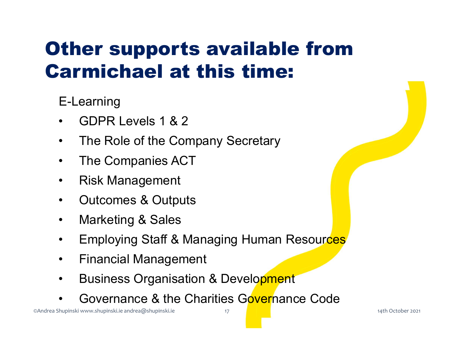### **ther supports availabl<br>
armichael at this time<br>
E-Learning<br>• GDPR Levels 1 & 2<br>• The Role of the Company Secretary<br>• The Companies ACT Ther supports available from<br>
armichael at this time:**<br>
E-Learning<br>• GDPR Levels 1 & 2<br>• The Role of the Company Secretary<br>• The Companies ACT<br>• Pisk Management **ther supports available<br>
armichael at this time:**<br>
E-Learning<br>• GDPR Levels 1 & 2<br>• The Role of the Company Secretary<br>• The Companies ACT<br>• Risk Management **Ther supports availa<br>
armichael at this tin<br>
E-Learning<br>
• GDPR Levels 1 & 2<br>
• The Role of the Company Secreta<br>
• The Companies ACT<br>
• Risk Management<br>
• Outcomes & Outputs<br>
• Marketing & Sales armichael at this time**<br>**E-Learning**<br>• GDPR Levels 1 & 2<br>• The Role of the Company Secretary<br>• The Companies ACT<br>• Risk Management<br>• Outcomes & Outputs<br>• Marketing & Sales Other supports available from Carmichael at this time:

E-Learning

- 
- **E-Learning<br>
 GDPR Levels 1 & 2<br>
 The Role of the Company Secreta<br>
 The Companies ACT<br>
 Risk Management<br>
 Outcomes & Outputs<br>
 Marketing & Sales<br>
 Employing Staff & Managing Hum** • GDPR Levels 1 & 2<br>• The Role of the Company Secreta<br>• The Companies ACT<br>• Risk Management<br>• Outcomes & Outputs<br>• Marketing & Sales<br>• Employing Staff & Managing Hum<br>• Financial Management<br>• Business Organisation & Develop
- 
- 
- 
- 
- E-Learning<br>
 GDPR Levels 1 & 2<br>
 The Role of the Company Secretary<br>
 The Companies ACT<br>
 Risk Management<br>
 Outcomes & Outputs<br>
 Marketing & Sales<br>
 Employing Staff & Managing Human Resources<br>
 Financial Management<br> • Fisk Management<br>• Outcomes & Outputs<br>• Marketing & Sales<br>• Employing Staff & Managing Human Resources<br>• Financial Management<br>• Business Organisation & Development<br>• Governance & the Charities Governance Code • Risk Management<br>• Outcomes & Outputs<br>• Marketing & Sales<br>• Employing Staff & Managing Human Resources<br>• Financial Management<br>• Business Organisation & Development<br>• Governance & the Charities Governance Code
	-
	-
	- The Role of the Company Secretary<br>• The Companies ACT<br>• Risk Management<br>• Outcomes & Outputs<br>• Employing Staff & Managing Human Resources<br>• Emancial Management<br>• Business Organisation & Development<br>• Governance & the Cha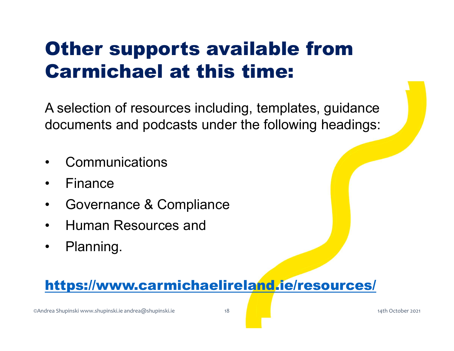## **Other supports avail<br>Carmichael at this ti<br>A selection of resources including,<br>documents and podcasts under the<br>• Communications<br>• Finance Other supports avail<br>Carmichael at this ti<br>A selection of resources including,<br>documents and podcasts under the<br>• Communications<br>• Finance<br>• Governance & Compliance** Other supports available from Carmichael at this time:

A selection of resources including, templates, guidance documents and podcasts under the following headings: **Carmichael at this time:**<br>A selection of resources including, templates, g<br>documents and podcasts under the following h<br>• Communications<br>• Finance<br>• Governance & Compliance<br>• Human Resources and A selection of resources including, if<br>documents and podcasts under the<br>• Communications<br>• Finance<br>• Governance & Compliance<br>• Human Resources and<br>• Planning. A selection of resources including,<br>documents and podcasts under the<br>• Communications<br>• Finance<br>• Governance & Compliance<br>• Human Resources and<br>• Planning.<br>• Hanning.

- 
- 
- 
- 
- 

# https://www.carmichaelireland.ie/resources/ Expression Contract Contract Contract Contract Contract Contract Contract Contract Contract Contract Contract Contract Contract Contract Contract Contract Contract Contract Contract Contract Contract Contract Contract Cont